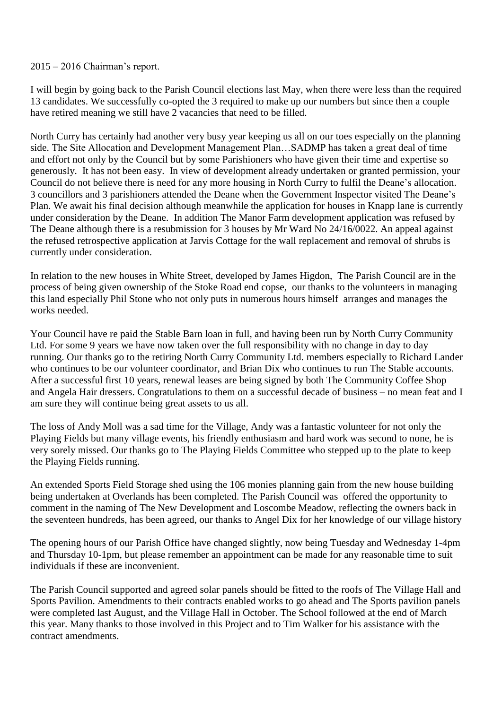## 2015 – 2016 Chairman's report.

I will begin by going back to the Parish Council elections last May, when there were less than the required 13 candidates. We successfully co-opted the 3 required to make up our numbers but since then a couple have retired meaning we still have 2 vacancies that need to be filled.

North Curry has certainly had another very busy year keeping us all on our toes especially on the planning side. The Site Allocation and Development Management Plan…SADMP has taken a great deal of time and effort not only by the Council but by some Parishioners who have given their time and expertise so generously. It has not been easy. In view of development already undertaken or granted permission, your Council do not believe there is need for any more housing in North Curry to fulfil the Deane's allocation. 3 councillors and 3 parishioners attended the Deane when the Government Inspector visited The Deane's Plan. We await his final decision although meanwhile the application for houses in Knapp lane is currently under consideration by the Deane. In addition The Manor Farm development application was refused by The Deane although there is a resubmission for 3 houses by Mr Ward No 24/16/0022. An appeal against the refused retrospective application at Jarvis Cottage for the wall replacement and removal of shrubs is currently under consideration.

In relation to the new houses in White Street, developed by James Higdon, The Parish Council are in the process of being given ownership of the Stoke Road end copse, our thanks to the volunteers in managing this land especially Phil Stone who not only puts in numerous hours himself arranges and manages the works needed.

Your Council have re paid the Stable Barn loan in full, and having been run by North Curry Community Ltd. For some 9 years we have now taken over the full responsibility with no change in day to day running. Our thanks go to the retiring North Curry Community Ltd. members especially to Richard Lander who continues to be our volunteer coordinator, and Brian Dix who continues to run The Stable accounts. After a successful first 10 years, renewal leases are being signed by both The Community Coffee Shop and Angela Hair dressers. Congratulations to them on a successful decade of business – no mean feat and I am sure they will continue being great assets to us all.

The loss of Andy Moll was a sad time for the Village, Andy was a fantastic volunteer for not only the Playing Fields but many village events, his friendly enthusiasm and hard work was second to none, he is very sorely missed. Our thanks go to The Playing Fields Committee who stepped up to the plate to keep the Playing Fields running.

An extended Sports Field Storage shed using the 106 monies planning gain from the new house building being undertaken at Overlands has been completed. The Parish Council was offered the opportunity to comment in the naming of The New Development and Loscombe Meadow, reflecting the owners back in the seventeen hundreds, has been agreed, our thanks to Angel Dix for her knowledge of our village history

The opening hours of our Parish Office have changed slightly, now being Tuesday and Wednesday 1-4pm and Thursday 10-1pm, but please remember an appointment can be made for any reasonable time to suit individuals if these are inconvenient.

The Parish Council supported and agreed solar panels should be fitted to the roofs of The Village Hall and Sports Pavilion. Amendments to their contracts enabled works to go ahead and The Sports pavilion panels were completed last August, and the Village Hall in October. The School followed at the end of March this year. Many thanks to those involved in this Project and to Tim Walker for his assistance with the contract amendments.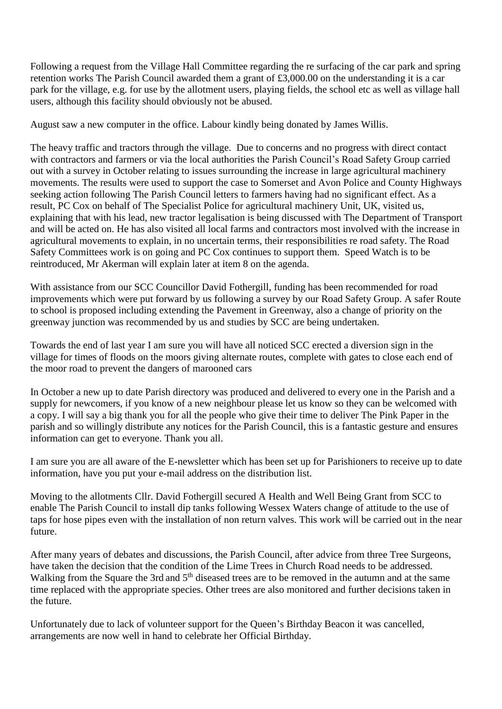Following a request from the Village Hall Committee regarding the re surfacing of the car park and spring retention works The Parish Council awarded them a grant of £3,000.00 on the understanding it is a car park for the village, e.g. for use by the allotment users, playing fields, the school etc as well as village hall users, although this facility should obviously not be abused.

August saw a new computer in the office. Labour kindly being donated by James Willis.

The heavy traffic and tractors through the village. Due to concerns and no progress with direct contact with contractors and farmers or via the local authorities the Parish Council's Road Safety Group carried out with a survey in October relating to issues surrounding the increase in large agricultural machinery movements. The results were used to support the case to Somerset and Avon Police and County Highways seeking action following The Parish Council letters to farmers having had no significant effect. As a result, PC Cox on behalf of The Specialist Police for agricultural machinery Unit, UK, visited us, explaining that with his lead, new tractor legalisation is being discussed with The Department of Transport and will be acted on. He has also visited all local farms and contractors most involved with the increase in agricultural movements to explain, in no uncertain terms, their responsibilities re road safety. The Road Safety Committees work is on going and PC Cox continues to support them. Speed Watch is to be reintroduced, Mr Akerman will explain later at item 8 on the agenda.

With assistance from our SCC Councillor David Fothergill, funding has been recommended for road improvements which were put forward by us following a survey by our Road Safety Group. A safer Route to school is proposed including extending the Pavement in Greenway, also a change of priority on the greenway junction was recommended by us and studies by SCC are being undertaken.

Towards the end of last year I am sure you will have all noticed SCC erected a diversion sign in the village for times of floods on the moors giving alternate routes, complete with gates to close each end of the moor road to prevent the dangers of marooned cars

In October a new up to date Parish directory was produced and delivered to every one in the Parish and a supply for newcomers, if you know of a new neighbour please let us know so they can be welcomed with a copy. I will say a big thank you for all the people who give their time to deliver The Pink Paper in the parish and so willingly distribute any notices for the Parish Council, this is a fantastic gesture and ensures information can get to everyone. Thank you all.

I am sure you are all aware of the E-newsletter which has been set up for Parishioners to receive up to date information, have you put your e-mail address on the distribution list.

Moving to the allotments Cllr. David Fothergill secured A Health and Well Being Grant from SCC to enable The Parish Council to install dip tanks following Wessex Waters change of attitude to the use of taps for hose pipes even with the installation of non return valves. This work will be carried out in the near future.

After many years of debates and discussions, the Parish Council, after advice from three Tree Surgeons, have taken the decision that the condition of the Lime Trees in Church Road needs to be addressed. Walking from the Square the 3rd and 5<sup>th</sup> diseased trees are to be removed in the autumn and at the same time replaced with the appropriate species. Other trees are also monitored and further decisions taken in the future.

Unfortunately due to lack of volunteer support for the Queen's Birthday Beacon it was cancelled, arrangements are now well in hand to celebrate her Official Birthday.